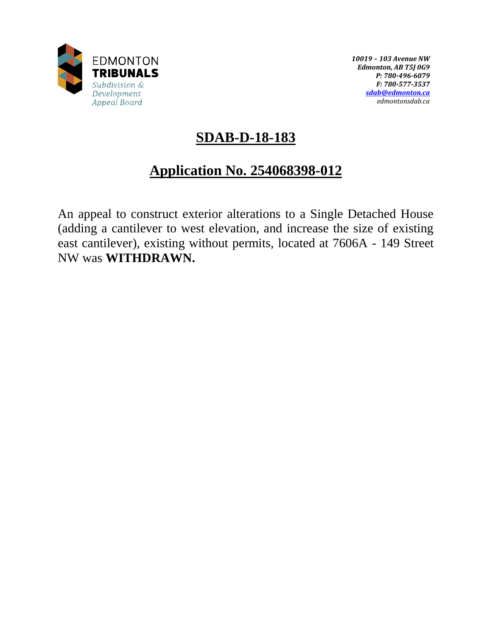

*10019 – 103 Avenue NW Edmonton, AB T5J 0G9 P: 780-496-6079 F: 780-577-3537 [sdab@edmonton.ca](mailto:sdab@edmonton.ca) edmontonsdab.ca*

# **SDAB-D-18-183**

# **Application No. 254068398-012**

An appeal to construct exterior alterations to a Single Detached House (adding a cantilever to west elevation, and increase the size of existing east cantilever), existing without permits, located at 7606A - 149 Street NW was **WITHDRAWN.**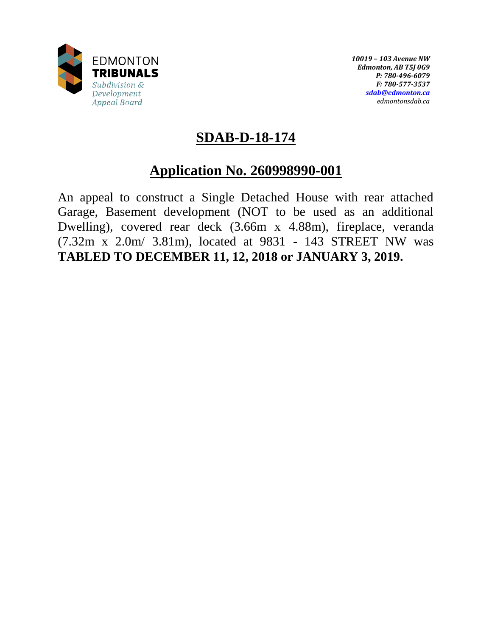

*10019 – 103 Avenue NW Edmonton, AB T5J 0G9 P: 780-496-6079 F: 780-577-3537 [sdab@edmonton.ca](mailto:sdab@edmonton.ca) edmontonsdab.ca*

# **SDAB-D-18-174**

# **Application No. 260998990-001**

An appeal to construct a Single Detached House with rear attached Garage, Basement development (NOT to be used as an additional Dwelling), covered rear deck (3.66m x 4.88m), fireplace, veranda (7.32m x 2.0m/ 3.81m), located at 9831 - 143 STREET NW was **TABLED TO DECEMBER 11, 12, 2018 or JANUARY 3, 2019.**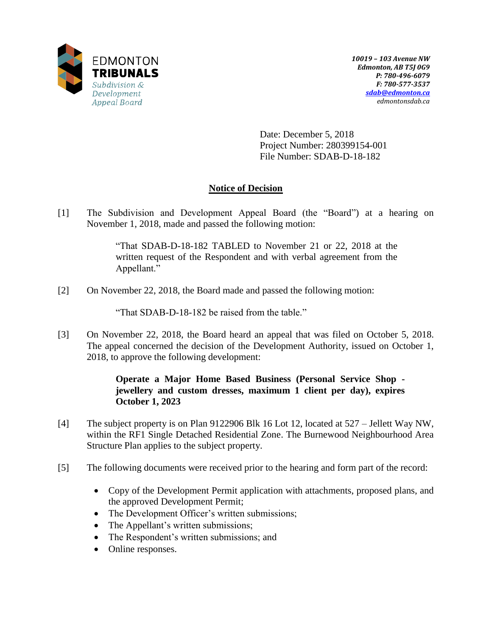

Date: December 5, 2018 Project Number: 280399154-001 File Number: SDAB-D-18-182

### **Notice of Decision**

[1] The Subdivision and Development Appeal Board (the "Board") at a hearing on November 1, 2018, made and passed the following motion:

> "That SDAB-D-18-182 TABLED to November 21 or 22, 2018 at the written request of the Respondent and with verbal agreement from the Appellant."

[2] On November 22, 2018, the Board made and passed the following motion:

"That SDAB-D-18-182 be raised from the table."

[3] On November 22, 2018, the Board heard an appeal that was filed on October 5, 2018. The appeal concerned the decision of the Development Authority, issued on October 1, 2018, to approve the following development:

### **Operate a Major Home Based Business (Personal Service Shop jewellery and custom dresses, maximum 1 client per day), expires October 1, 2023**

- [4] The subject property is on Plan 9122906 Blk 16 Lot 12, located at 527 Jellett Way NW, within the RF1 Single Detached Residential Zone. The Burnewood Neighbourhood Area Structure Plan applies to the subject property.
- [5] The following documents were received prior to the hearing and form part of the record:
	- Copy of the Development Permit application with attachments, proposed plans, and the approved Development Permit;
	- The Development Officer's written submissions;
	- The Appellant's written submissions;
	- The Respondent's written submissions; and
	- Online responses.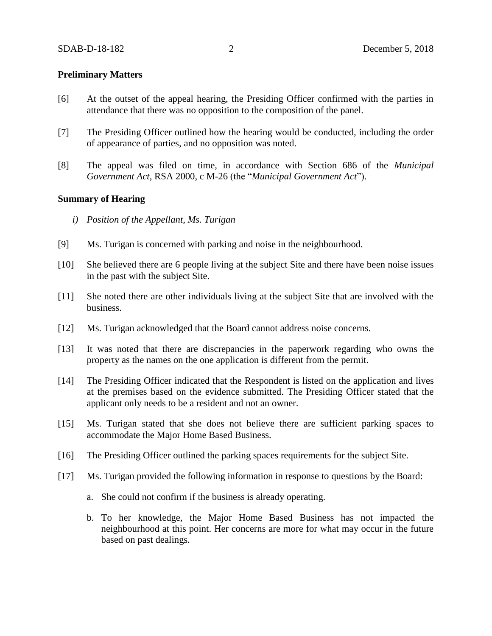#### **Preliminary Matters**

- [6] At the outset of the appeal hearing, the Presiding Officer confirmed with the parties in attendance that there was no opposition to the composition of the panel.
- [7] The Presiding Officer outlined how the hearing would be conducted, including the order of appearance of parties, and no opposition was noted.
- [8] The appeal was filed on time, in accordance with Section 686 of the *Municipal Government Act*, RSA 2000, c M-26 (the "*Municipal Government Act*").

#### **Summary of Hearing**

- *i) Position of the Appellant, Ms. Turigan*
- [9] Ms. Turigan is concerned with parking and noise in the neighbourhood.
- [10] She believed there are 6 people living at the subject Site and there have been noise issues in the past with the subject Site.
- [11] She noted there are other individuals living at the subject Site that are involved with the business.
- [12] Ms. Turigan acknowledged that the Board cannot address noise concerns.
- [13] It was noted that there are discrepancies in the paperwork regarding who owns the property as the names on the one application is different from the permit.
- [14] The Presiding Officer indicated that the Respondent is listed on the application and lives at the premises based on the evidence submitted. The Presiding Officer stated that the applicant only needs to be a resident and not an owner.
- [15] Ms. Turigan stated that she does not believe there are sufficient parking spaces to accommodate the Major Home Based Business.
- [16] The Presiding Officer outlined the parking spaces requirements for the subject Site.
- [17] Ms. Turigan provided the following information in response to questions by the Board:
	- a. She could not confirm if the business is already operating.
	- b. To her knowledge, the Major Home Based Business has not impacted the neighbourhood at this point. Her concerns are more for what may occur in the future based on past dealings.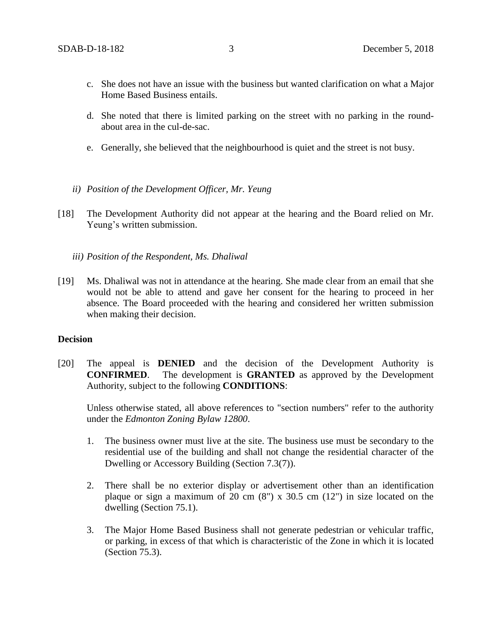- c. She does not have an issue with the business but wanted clarification on what a Major Home Based Business entails.
- d. She noted that there is limited parking on the street with no parking in the roundabout area in the cul-de-sac.
- e. Generally, she believed that the neighbourhood is quiet and the street is not busy.
- *ii) Position of the Development Officer, Mr. Yeung*
- [18] The Development Authority did not appear at the hearing and the Board relied on Mr. Yeung's written submission.
	- *iii) Position of the Respondent, Ms. Dhaliwal*
- [19] Ms. Dhaliwal was not in attendance at the hearing. She made clear from an email that she would not be able to attend and gave her consent for the hearing to proceed in her absence. The Board proceeded with the hearing and considered her written submission when making their decision.

#### **Decision**

[20] The appeal is **DENIED** and the decision of the Development Authority is **CONFIRMED**. The development is **GRANTED** as approved by the Development Authority, subject to the following **CONDITIONS**:

Unless otherwise stated, all above references to "section numbers" refer to the authority under the *Edmonton Zoning Bylaw 12800*.

- 1. The business owner must live at the site. The business use must be secondary to the residential use of the building and shall not change the residential character of the Dwelling or Accessory Building (Section 7.3(7)).
- 2. There shall be no exterior display or advertisement other than an identification plaque or sign a maximum of 20 cm  $(8)$  x 30.5 cm  $(12)$  in size located on the dwelling (Section 75.1).
- 3. The Major Home Based Business shall not generate pedestrian or vehicular traffic, or parking, in excess of that which is characteristic of the Zone in which it is located (Section 75.3).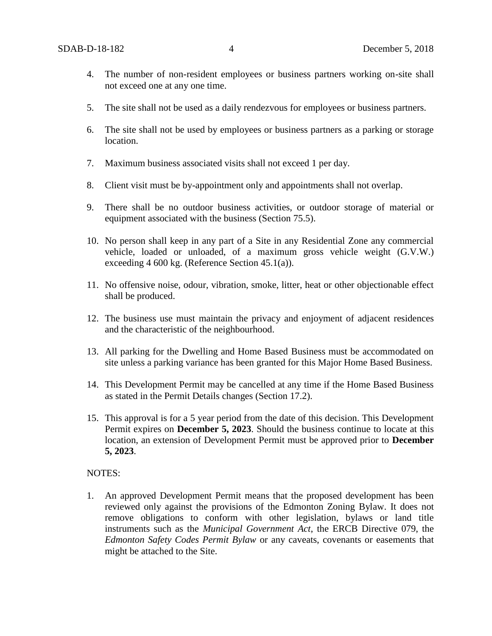- 4. The number of non-resident employees or business partners working on-site shall not exceed one at any one time.
- 5. The site shall not be used as a daily rendezvous for employees or business partners.
- 6. The site shall not be used by employees or business partners as a parking or storage location.
- 7. Maximum business associated visits shall not exceed 1 per day.
- 8. Client visit must be by-appointment only and appointments shall not overlap.
- 9. There shall be no outdoor business activities, or outdoor storage of material or equipment associated with the business (Section 75.5).
- 10. No person shall keep in any part of a Site in any Residential Zone any commercial vehicle, loaded or unloaded, of a maximum gross vehicle weight (G.V.W.) exceeding 4 600 kg. (Reference Section 45.1(a)).
- 11. No offensive noise, odour, vibration, smoke, litter, heat or other objectionable effect shall be produced.
- 12. The business use must maintain the privacy and enjoyment of adjacent residences and the characteristic of the neighbourhood.
- 13. All parking for the Dwelling and Home Based Business must be accommodated on site unless a parking variance has been granted for this Major Home Based Business.
- 14. This Development Permit may be cancelled at any time if the Home Based Business as stated in the Permit Details changes (Section 17.2).
- 15. This approval is for a 5 year period from the date of this decision. This Development Permit expires on **December 5, 2023**. Should the business continue to locate at this location, an extension of Development Permit must be approved prior to **December 5, 2023**.

#### NOTES:

1. An approved Development Permit means that the proposed development has been reviewed only against the provisions of the Edmonton Zoning Bylaw. It does not remove obligations to conform with other legislation, bylaws or land title instruments such as the *Municipal Government Act*, the ERCB Directive 079, the *Edmonton Safety Codes Permit Bylaw* or any caveats, covenants or easements that might be attached to the Site.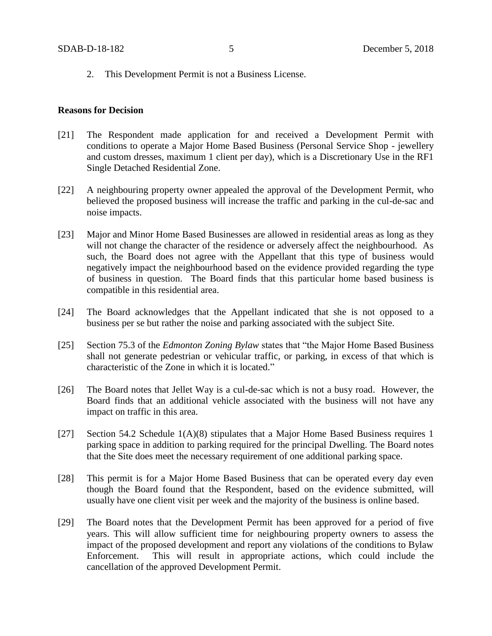2. This Development Permit is not a Business License.

#### **Reasons for Decision**

- [21] The Respondent made application for and received a Development Permit with conditions to operate a Major Home Based Business (Personal Service Shop - jewellery and custom dresses, maximum 1 client per day), which is a Discretionary Use in the RF1 Single Detached Residential Zone.
- [22] A neighbouring property owner appealed the approval of the Development Permit, who believed the proposed business will increase the traffic and parking in the cul-de-sac and noise impacts.
- [23] Major and Minor Home Based Businesses are allowed in residential areas as long as they will not change the character of the residence or adversely affect the neighbourhood. As such, the Board does not agree with the Appellant that this type of business would negatively impact the neighbourhood based on the evidence provided regarding the type of business in question. The Board finds that this particular home based business is compatible in this residential area.
- [24] The Board acknowledges that the Appellant indicated that she is not opposed to a business per se but rather the noise and parking associated with the subject Site.
- [25] Section 75.3 of the *Edmonton Zoning Bylaw* states that "the Major Home Based Business shall not generate pedestrian or vehicular traffic, or parking, in excess of that which is characteristic of the Zone in which it is located."
- [26] The Board notes that Jellet Way is a cul-de-sac which is not a busy road. However, the Board finds that an additional vehicle associated with the business will not have any impact on traffic in this area.
- [27] Section 54.2 Schedule 1(A)(8) stipulates that a Major Home Based Business requires 1 parking space in addition to parking required for the principal Dwelling. The Board notes that the Site does meet the necessary requirement of one additional parking space.
- [28] This permit is for a Major Home Based Business that can be operated every day even though the Board found that the Respondent, based on the evidence submitted, will usually have one client visit per week and the majority of the business is online based.
- [29] The Board notes that the Development Permit has been approved for a period of five years. This will allow sufficient time for neighbouring property owners to assess the impact of the proposed development and report any violations of the conditions to Bylaw Enforcement. This will result in appropriate actions, which could include the cancellation of the approved Development Permit.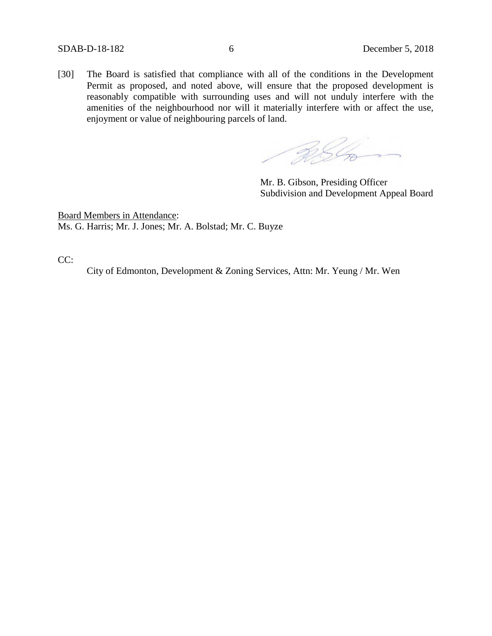[30] The Board is satisfied that compliance with all of the conditions in the Development Permit as proposed, and noted above, will ensure that the proposed development is reasonably compatible with surrounding uses and will not unduly interfere with the amenities of the neighbourhood nor will it materially interfere with or affect the use, enjoyment or value of neighbouring parcels of land.

**2056** 

Mr. B. Gibson, Presiding Officer Subdivision and Development Appeal Board

Board Members in Attendance: Ms. G. Harris; Mr. J. Jones; Mr. A. Bolstad; Mr. C. Buyze

CC:

City of Edmonton, Development & Zoning Services, Attn: Mr. Yeung / Mr. Wen